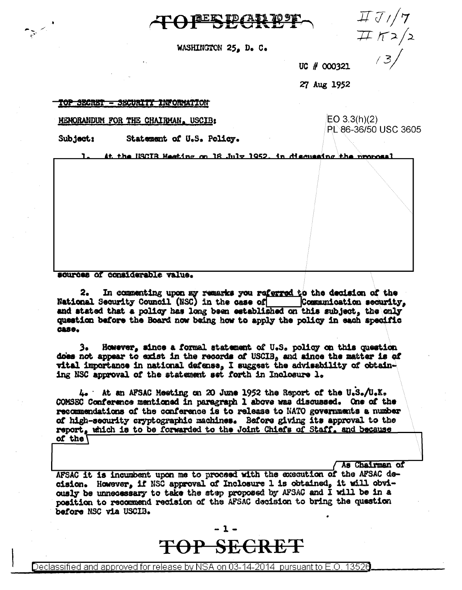

WASHINGTON 25, D. C.

 $\overline{HJ}/T$  $\pi \pi 2/2$  $/3/$ 

UC # 000321

27 Aug 1952

#### TOP SECRET - SECURITY INFORMATION

MENORANDUM FOR THE CHAIRMAN. USCIB:

 $EO 3.3(h)(2)$ PL 86-36/50 USC 3605

Subject: Statement of U.S. Policy.

At the HSCIB Meeting on 18 July 1952, in discussing the proposal

sources of considerable value.

In commenting upon my remarks you referred to the decision of the 2. National Security Council (NSC) in the case of Communication security, and stated that a policy has long been established on this subject, the only question before the Board now being how to apply the policy in each specific **CASO.** 

However, since a formal statement of U.S. policy on this question з. does not appear to exist in the records of USCIB. and since the matter is of vital importance in national defense, I suggest the advisability of obtaining NSC approval of the statement set forth in Inclosure 1.

4. At an AFSAC Meeting on 20 June 1952 the Report of the U.S./U.K. COMSEC Conference mentioned in paragraph 1 above was discussed. One of the recommendations of the conference is to release to NATO governments a number of high-security cryptographic machines. Before giving its approval to the report, which is to be forwarded to the Joint Chiefs of Staff, and because of the  $\sqrt{ }$ 

As Chairman of

AFSAC it is incumbent upon me to proceed with the execution of the AFSAC decision. However, if NSC approval of Inclosure 1 is obtained, it will obviously be unnecessary to take the step proposed by AFSAC and I will be in a position to recommend recision of the AFSAC decision to bring the question before NSC via USCIB.

> . 1 . TOP SECRET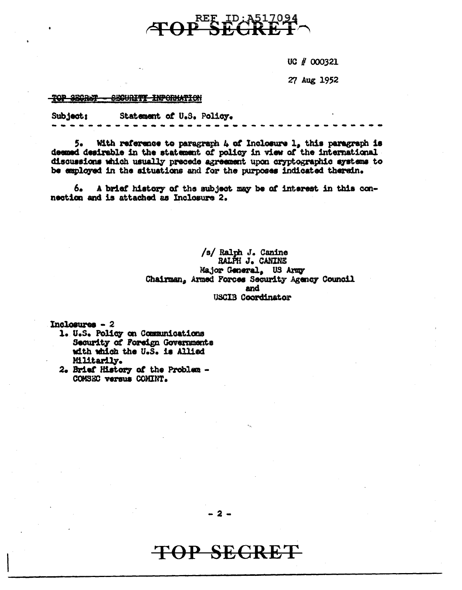

UC # 000321

27 Aug 1952

#### <del>TOP SECRET</del> <del>- SECURITI INFORMATION</del>

Subject: Statement of U.S. Policy.

With reference to paragraph  $4$  of Inclosure  $1$ , this paragraph is 5. deemed desirable in the statement of policy in view of the international discussions which usually precede agreement upon cryptographic systems to be employed in the situations and for the purposes indicated therein.

A brief history of the subject may be of interest in this con-6. nection and is attached as Inclosure 2.

> /s/ Ralph J. Canine RALPH J. CANINE Major General, US Army Chairman, Armed Forces Security Agency Council and **USCIB Coordinator**

Inclosures - 2

- 1. U.S. Policy on Communications Security of Foreign Governments with which the U.S. is Allied Militarily.
- 2. Brief History of the Problem -COMSEC versus COMINT.

 $2 -$ 

## P SECRET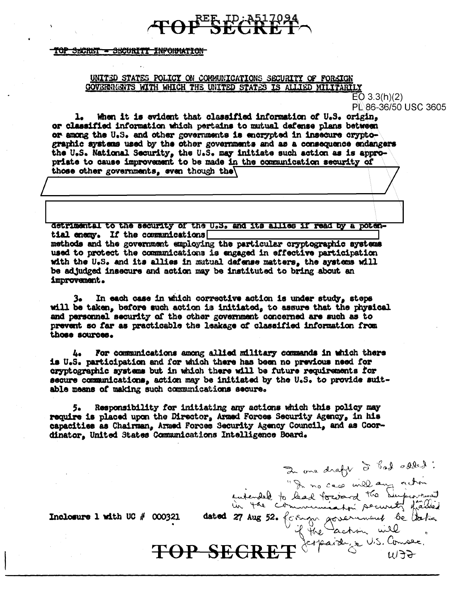## **TOP SECRET**

#### TOP SECRET - SECURITY INFORMATION

### UNITED STATES POLICY ON COMMUNICATIONS SECURITY OF FORKIGN GOVERNMENTS WITH WHICH THE UNITED STATES IS ALLIED MILITARILY

 $EO 3.3(h)(2)$ PL 86-36/50 USC 3605

When it is evident that classified information of U.S. origin, or classified information which pertains to mutual defense plans between or among the U.S. and other governments is encrypted in insecure oryptographic systems used by the other governments and as a consequence endangers the U.S. National Security, the U.S. may initiate such action as is appro-<br>priate to cause improvement to be made in the communication security of those other governments, even though the

detrimental to the security of the U.S. and its allies if read by a potential enemy. If the communications methods and the government employing the particular cryptographic systems used to protect the communications is engaged in effective participation with the U.S. and its allies in mutual defense matters, the systems will be adjudged insecure and action may be instituted to bring about an improvement.

In each case in which corrective action is under study, steps 3. will be taken, before such action is initiated, to assure that the physical and personnel security of the other government concerned are such as to prevent so far as practicable the leakage of classified information from those sources.

For communications among allied military commands in which there 4. is U.S. participation and for which there has been no previous need for cryptographic systems but in which there will be future requirements for secure communications, action may be initiated by the U.S. to provide suitable means of making such communications secure.

Responsibility for initiating any actions which this policy may 5∙ ∶ require is placed upon the Director, Armed Forces Security Agency, in his capacities as Chairman, Armed Forces Security Agency Council, and as Coordinator, United States Communications Intelligence Board.

TOP SECRET

2 one draft d'had abled!<br>
une draft d'had aux actions

Inclosure 1 with UC  $#$  000321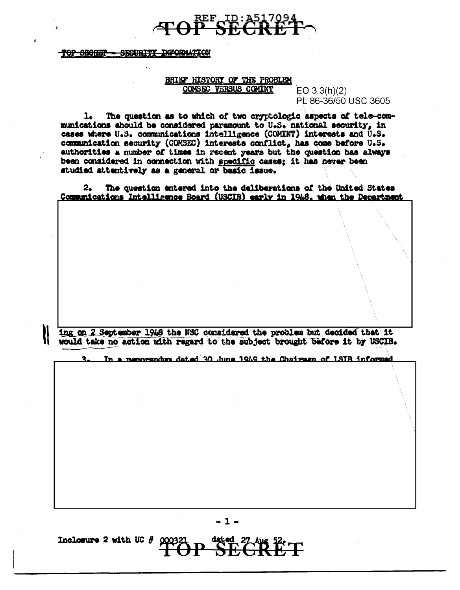## **EF ID: A51709**<br><del>• SECRE</del>

TOP SECRET - SECURITY INFORMATION

### BRIEF HISTORY OF THE PROBLEM COMSEC VERSUS COMINT

 $EO 3.3(h)(2)$ PL 86-36/50 USC 3605

The question as to which of two cryptologic aspects of tele-com-1. munications should be considered paramount to U.S. national security, in cases where U.S. communications intelligence (COMINT) interests and U.S. communication security (COMSEC) interests conflict, has come before U.S. authorities a number of times in recent years but the question has always been considered in connection with specific cases; it has never been studied attentively as a general or basic issue.

The question entered into the deliberations of the United States  $2<sub>o</sub>$ Communications Intelligence Board (USCIB) early in 1948, when the Department

ing on 2 September 1948 the NSC considered the problem but decided that it would take no action with regard to the subject brought before it by USCIB.

In a memorandum dated 30 June 1949 the Chairman of ISIR informed

 $-1-$ 

Inclosure 2 with UC  $#$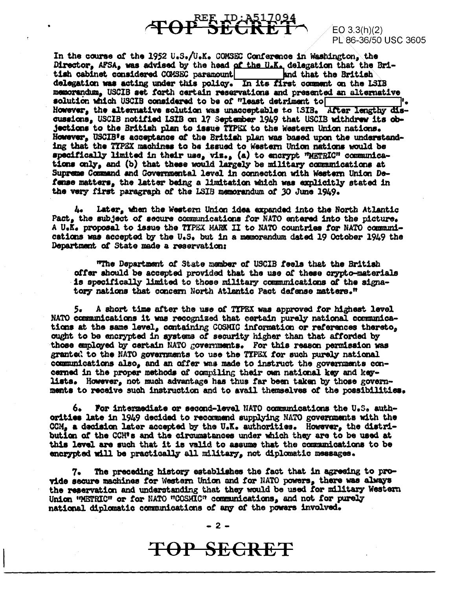# **TOP SECRET**

 $EO$  3.3(h)(2) PL 86-36/50 USC 3605

In the course of the 1952 U.S./U.K. COMSEC Conference in Washington, the Director, AFSA, was advised by the head of the U.K. delegation that the British cabinet considered COMSEC paramount and that the British delegation was acting under this policy. In its first comment on the LSIB memorandum. USCIB set forth certain reservations and presented an alternative solution which USCIB considered to be of "least detriment to However, the alternative solution was unacceptable to ISIB. After lengthy discussions, USCIB notified ISIB on 17 September 1949 that USCIB withdrew its objections to the British plan to issue TTPEX to the Western Union nations. However, USCIB's acceptance of the British plan was based upon the understanding that the TYPEX machines to be issued to Western Union nations would be specifically limited in their use, viz., (a) to encrypt "METRIC" communications only, and (b) that these would largely be military communications at Supreme Command and Governmental level in connection with Western Union Defense matters, the latter being a limitation which was explicitly stated in the very first paragraph of the LSIB memorandum of 30 June 1949.

Later, when the Western Union idea expanded into the North Atlantic **Le** Pact, the subject of secure communications for NATO entered into the picture. A U.K. proposal to issue the TIPEX MARK II to NATO countries for NATO communications was accepted by the U.S. but in a memorandum dated 19 October 1949 the Department of State made a reservation:

"The Department of State member of USCIB feels that the British offer should be accepted provided that the use of these crypto-materials is specifically limited to those military communications of the signatory nations that concern North Atlantic Pact defense matters."

5. A short time after the use of TYPEX was approved for highest level NATO communications it was recognized that certain purely national communications at the same level, containing COSMIC information or references thereto, ought to be encrypted in systems of security higher than that afforded by those amployed by certain NATO governments. For this reason permission was granted to the NATO governments to use the TYPEX for such purely national communications also, and an offer was made to instruct the governments concerned in the proper methods of compiling their can national key and keylists. However, not much advantage has thus far been taken by those governments to receive such instruction and to avail themselves of the possibilities.

6. For intermediate or second-level NATO communications the U.S. authorities late in 1949 decided to recommend supplying NATO governments with the CCM, a decision later accepted by the U.K. authorities. However, the distribution of the CCM's and the circumstances under which they are to be used at this level are such that it is valid to assume that the communications to be encrypted will be practically all military, not diplomatic messages.

The preceding history establishes the fact that in agreeing to pro-7. vide secure machines for Western Union and for NATO powers, there was always the reservation and understanding that they would be used for military Western Union "METRIC" or for NATO "COSMIC" communications, and not for purely national diplomatic communications of any of the powers involved.

 $-2-$ 

## TOP SECRET